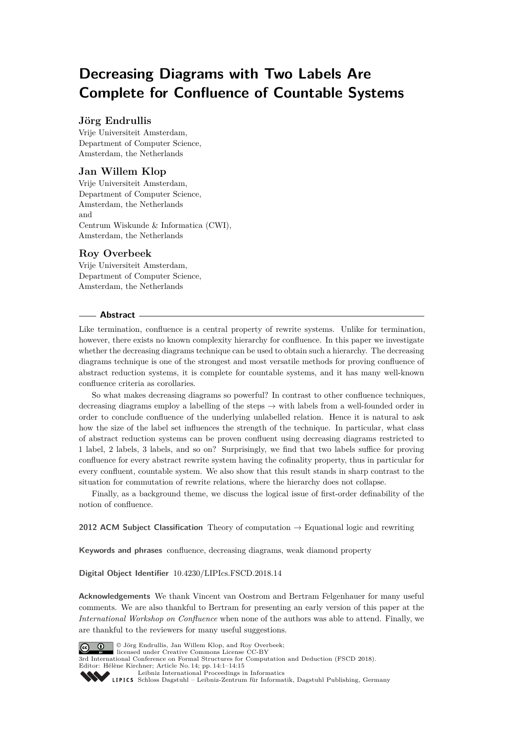# **Decreasing Diagrams with Two Labels Are Complete for Confluence of Countable Systems**

# **Jörg Endrullis**

Vrije Universiteit Amsterdam, Department of Computer Science, Amsterdam, the Netherlands

# **Jan Willem Klop**

Vrije Universiteit Amsterdam, Department of Computer Science, Amsterdam, the Netherlands and Centrum Wiskunde & Informatica (CWI), Amsterdam, the Netherlands

# **Roy Overbeek**

Vrije Universiteit Amsterdam, Department of Computer Science, Amsterdam, the Netherlands

# **Abstract**

Like termination, confluence is a central property of rewrite systems. Unlike for termination, however, there exists no known complexity hierarchy for confluence. In this paper we investigate whether the decreasing diagrams technique can be used to obtain such a hierarchy. The decreasing diagrams technique is one of the strongest and most versatile methods for proving confluence of abstract reduction systems, it is complete for countable systems, and it has many well-known confluence criteria as corollaries.

So what makes decreasing diagrams so powerful? In contrast to other confluence techniques, decreasing diagrams employ a labelling of the steps  $\rightarrow$  with labels from a well-founded order in order to conclude confluence of the underlying unlabelled relation. Hence it is natural to ask how the size of the label set influences the strength of the technique. In particular, what class of abstract reduction systems can be proven confluent using decreasing diagrams restricted to 1 label, 2 labels, 3 labels, and so on? Surprisingly, we find that two labels suffice for proving confluence for every abstract rewrite system having the cofinality property, thus in particular for every confluent, countable system. We also show that this result stands in sharp contrast to the situation for commutation of rewrite relations, where the hierarchy does not collapse.

Finally, as a background theme, we discuss the logical issue of first-order definability of the notion of confluence.

**2012 ACM Subject Classification** Theory of computation → Equational logic and rewriting

**Keywords and phrases** confluence, decreasing diagrams, weak diamond property

**Digital Object Identifier** [10.4230/LIPIcs.FSCD.2018.14](http://dx.doi.org/10.4230/LIPIcs.FSCD.2018.14)

**Acknowledgements** We thank Vincent van Oostrom and Bertram Felgenhauer for many useful comments. We are also thankful to Bertram for presenting an early version of this paper at the *International Workshop on Confluence* when none of the authors was able to attend. Finally, we are thankful to the reviewers for many useful suggestions.



© Jörg Endrullis, Jan Willem Klop, and Roy Overbeek;

licensed under Creative Commons License CC-BY 3rd International Conference on Formal Structures for Computation and Deduction (FSCD 2018). Editor: Hélène Kirchner; Article No. 14; pp. 14:1–14[:15](#page-14-0)

[Leibniz International Proceedings in Informatics](http://www.dagstuhl.de/lipics/)

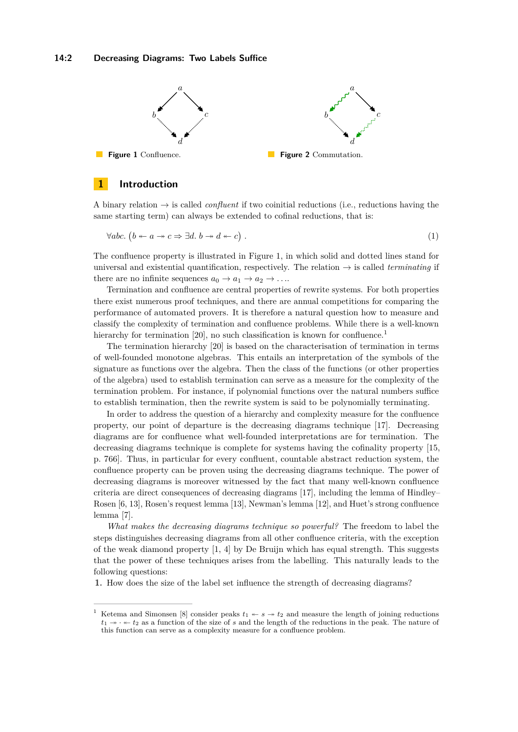## **14:2 Decreasing Diagrams: Two Labels Suffice**

<span id="page-1-0"></span>

# **1 Introduction**

A binary relation  $\rightarrow$  is called *confluent* if two coinitial reductions (i.e., reductions having the same starting term) can always be extended to cofinal reductions, that is:

<span id="page-1-2"></span>
$$
\forall abc. (b \leftarrow a \rightarrow c \Rightarrow \exists d. b \rightarrow d \leftarrow c).
$$
 (1)

The confluence property is illustrated in Figure [1,](#page-1-0) in which solid and dotted lines stand for universal and existential quantification, respectively. The relation  $\rightarrow$  is called *terminating* if there are no infinite sequences  $a_0 \rightarrow a_1 \rightarrow a_2 \rightarrow \ldots$ 

Termination and confluence are central properties of rewrite systems. For both properties there exist numerous proof techniques, and there are annual competitions for comparing the performance of automated provers. It is therefore a natural question how to measure and classify the complexity of termination and confluence problems. While there is a well-known hierarchy for termination [\[20\]](#page-14-1), no such classification is known for confluence.<sup>[1](#page-1-1)</sup>

The termination hierarchy [\[20\]](#page-14-1) is based on the characterisation of termination in terms of well-founded monotone algebras. This entails an interpretation of the symbols of the signature as functions over the algebra. Then the class of the functions (or other properties of the algebra) used to establish termination can serve as a measure for the complexity of the termination problem. For instance, if polynomial functions over the natural numbers suffice to establish termination, then the rewrite system is said to be polynomially terminating.

In order to address the question of a hierarchy and complexity measure for the confluence property, our point of departure is the decreasing diagrams technique [\[17\]](#page-14-2). Decreasing diagrams are for confluence what well-founded interpretations are for termination. The decreasing diagrams technique is complete for systems having the cofinality property [\[15,](#page-14-3) p. 766]. Thus, in particular for every confluent, countable abstract reduction system, the confluence property can be proven using the decreasing diagrams technique. The power of decreasing diagrams is moreover witnessed by the fact that many well-known confluence criteria are direct consequences of decreasing diagrams [\[17\]](#page-14-2), including the lemma of Hindley– Rosen [\[6,](#page-14-4) [13\]](#page-14-5), Rosen's request lemma [\[13\]](#page-14-5), Newman's lemma [\[12\]](#page-14-6), and Huet's strong confluence lemma [\[7\]](#page-14-7).

*What makes the decreasing diagrams technique so powerful?* The freedom to label the steps distinguishes decreasing diagrams from all other confluence criteria, with the exception of the weak diamond property [\[1,](#page-13-0) [4\]](#page-13-1) by De Bruijn which has equal strength. This suggests that the power of these techniques arises from the labelling. This naturally leads to the following questions:

**1.** How does the size of the label set influence the strength of decreasing diagrams?

<span id="page-1-1"></span>Ketema and Simonsen [\[8\]](#page-14-8) consider peaks  $t_1 \leftarrow s \rightarrow t_2$  and measure the length of joining reductions  $t_1 \rightarrow \cdot \cdot \cdot t_2$  as a function of the size of *s* and the length of the reductions in the peak. The nature of this function can serve as a complexity measure for a confluence problem.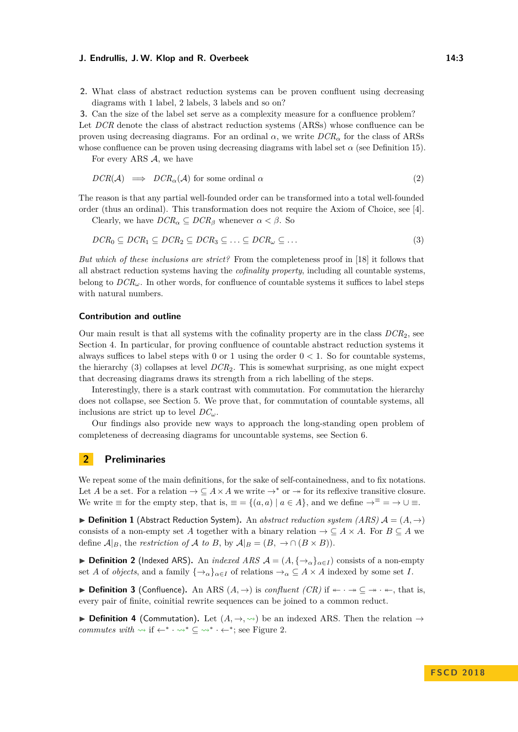**2.** What class of abstract reduction systems can be proven confluent using decreasing diagrams with 1 label, 2 labels, 3 labels and so on?

**3.** Can the size of the label set serve as a complexity measure for a confluence problem? Let *DCR* denote the class of abstract reduction systems (ARSs) whose confluence can be proven using decreasing diagrams. For an ordinal  $\alpha$ , we write  $DCR_{\alpha}$  for the class of ARSs whose confluence can be proven using decreasing diagrams with label set  $\alpha$  (see Definition [15\)](#page-5-0).

For every ARS  $A$ , we have

$$
DCR(\mathcal{A}) \implies DCR_{\alpha}(\mathcal{A}) \text{ for some ordinal } \alpha \tag{2}
$$

The reason is that any partial well-founded order can be transformed into a total well-founded order (thus an ordinal). This transformation does not require the Axiom of Choice, see [\[4\]](#page-13-1).

Clearly, we have  $DCR_{\alpha} \subseteq DCR_{\beta}$  whenever  $\alpha < \beta$ . So

<span id="page-2-0"></span>
$$
DCR_0 \subseteq DCR_1 \subseteq DCR_2 \subseteq DCR_3 \subseteq \ldots \subseteq DCR_{\omega} \subseteq \ldots \tag{3}
$$

*But which of these inclusions are strict?* From the completeness proof in [\[18\]](#page-14-9) it follows that all abstract reduction systems having the *cofinality property*, including all countable systems, belong to  $DCR_{\omega}$ . In other words, for confluence of countable systems it suffices to label steps with natural numbers.

#### **Contribution and outline**

Our main result is that all systems with the cofinality property are in the class *DCR*2, see Section [4.](#page-4-0) In particular, for proving confluence of countable abstract reduction systems it always suffices to label steps with 0 or 1 using the order  $0 < 1$ . So for countable systems, the hierarchy [\(3\)](#page-2-0) collapses at level *DCR*2. This is somewhat surprising, as one might expect that decreasing diagrams draws its strength from a rich labelling of the steps.

Interestingly, there is a stark contrast with commutation. For commutation the hierarchy does not collapse, see Section [5.](#page-8-0) We prove that, for commutation of countable systems, all inclusions are strict up to level  $DC_\omega$ .

Our findings also provide new ways to approach the long-standing open problem of completeness of decreasing diagrams for uncountable systems, see Section [6.](#page-12-0)

# **2 Preliminaries**

We repeat some of the main definitions, for the sake of self-containedness, and to fix notations. Let *A* be a set. For a relation  $\rightarrow \subseteq A \times A$  we write  $\rightarrow^*$  or  $\rightarrow$  for its reflexive transitive closure. We write  $\equiv$  for the empty step, that is,  $\equiv$  = { $(a,a) | a \in A$ }, and we define  $\rightarrow^{\equiv}$  =  $\rightarrow \cup$   $\equiv$ .

 $\triangleright$  **Definition 1** (Abstract Reduction System). An *abstract reduction system (ARS)*  $\mathcal{A} = (A, \rightarrow)$ consists of a non-empty set *A* together with a binary relation  $\rightarrow \subseteq A \times A$ . For  $B \subseteq A$  we define  $\mathcal{A}|_B$ , the *restriction of*  $\mathcal{A}$  *to*  $B$ , by  $\mathcal{A}|_B = (B, \rightarrow \cap (B \times B)).$ 

**▶ Definition 2** (Indexed ARS). An *indexed ARS*  $\mathcal{A} = (A, \{→_{\alpha}\}_{{\alpha}\in I})$  consists of a non-empty set *A* of *objects*, and a family  $\{\rightarrow_{\alpha}\}_{{\alpha \in I}}$  of relations  $\rightarrow_{\alpha} \subseteq A \times A$  indexed by some set *I*.

**► Definition 3** (Confluence). An ARS  $(A, \rightarrow)$  is *confluent (CR)* if  $\leftarrow \rightarrow \leftarrow \leftarrow$ , that is, every pair of finite, coinitial rewrite sequences can be joined to a common reduct.

**▶ Definition 4 (Commutation).** Let  $(A, \rightarrow, \rightsquigarrow)$  be an indexed ARS. Then the relation  $\rightarrow$ *commutes with*  $\rightsquigarrow$  if  $\leftarrow^* \cdot \rightsquigarrow^* \subseteq \rightsquigarrow^* \cdot \leftarrow^*$ ; see Figure [2.](#page-1-0)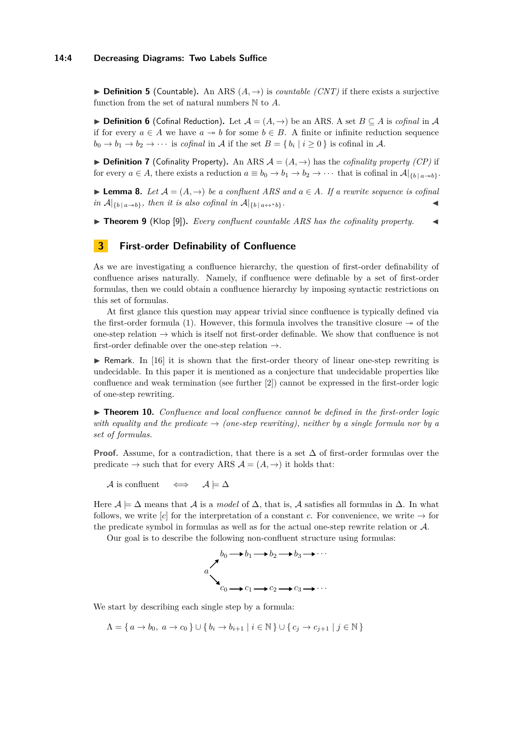**► Definition 5** (Countable). An ARS  $(A, \rightarrow)$  is *countable (CNT)* if there exists a surjective function from the set of natural numbers N to *A*.

**► Definition 6** (Cofinal Reduction). Let  $\mathcal{A} = (A, \rightarrow)$  be an ARS. A set  $B \subset A$  is *cofinal* in  $\mathcal{A}$ if for every  $a \in A$  we have  $a \rightarrow b$  for some  $b \in B$ . A finite or infinite reduction sequence  $b_0 \to b_1 \to b_2 \to \cdots$  is *cofinal* in A if the set  $B = \{b_i \mid i \ge 0\}$  is cofinal in A.

**▶ Definition 7** (Cofinality Property). An ARS  $\mathcal{A} = (A, \rightarrow)$  has the *cofinality property (CP)* if for every  $a \in A$ , there exists a reduction  $a \equiv b_0 \rightarrow b_1 \rightarrow b_2 \rightarrow \cdots$  that is cofinal in  $A|_{\{b \mid a \rightarrow b\}}$ .

<span id="page-3-1"></span>**► Lemma 8.** Let  $A = (A, \rightarrow)$  be a confluent ARS and  $a \in A$ . If a rewrite sequence is cofinal  $in$   $\mathcal{A}|_{\{b \mid a \rightarrow b\}}$ *, then it is also cofinal in*  $\mathcal{A}|_{\{b \mid a \leftrightarrow^* b\}}$ *.* 

<span id="page-3-2"></span> $\triangleright$  **Theorem 9** (Klop [\[9\]](#page-14-10)). *Every confluent countable ARS has the cofinality property.* 

# **3 First-order Definability of Confluence**

As we are investigating a confluence hierarchy, the question of first-order definability of confluence arises naturally. Namely, if confluence were definable by a set of first-order formulas, then we could obtain a confluence hierarchy by imposing syntactic restrictions on this set of formulas.

At first glance this question may appear trivial since confluence is typically defined via the first-order formula [\(1\)](#page-1-2). However, this formula involves the transitive closure  $\rightarrow$  of the one-step relation  $\rightarrow$  which is itself not first-order definable. We show that confluence is not first-order definable over the one-step relation  $\rightarrow$ .

 $\triangleright$  Remark. In [\[16\]](#page-14-11) it is shown that the first-order theory of linear one-step rewriting is undecidable. In this paper it is mentioned as a conjecture that undecidable properties like confluence and weak termination (see further [\[2\]](#page-13-2)) cannot be expressed in the first-order logic of one-step rewriting.

<span id="page-3-0"></span>▶ **Theorem 10.** *Confluence and local confluence cannot be defined in the first-order logic with equality and the predicate*  $\rightarrow$  *(one-step rewriting), neither by a single formula nor by a set of formulas.*

**Proof.** Assume, for a contradiction, that there is a set  $\Delta$  of first-order formulas over the predicate  $\rightarrow$  such that for every ARS  $\mathcal{A} = (A, \rightarrow)$  it holds that:

A is confluent  $\iff$   $A \models \Delta$ 

Here  $\mathcal{A} \models \Delta$  means that  $\mathcal{A}$  is a *model* of  $\Delta$ , that is,  $\mathcal{A}$  satisfies all formulas in  $\Delta$ . In what follows, we write  $[c]$  for the interpretation of a constant *c*. For convenience, we write  $\rightarrow$  for the predicate symbol in formulas as well as for the actual one-step rewrite relation or A.

Our goal is to describe the following non-confluent structure using formulas:



We start by describing each single step by a formula:

 $Λ = \{ a \rightarrow b_0, a \rightarrow c_0 \} ∪ \{ b_i \rightarrow b_{i+1} | i \in \mathbb{N} \} ∪ \{ c_i \rightarrow c_{i+1} | j \in \mathbb{N} \}$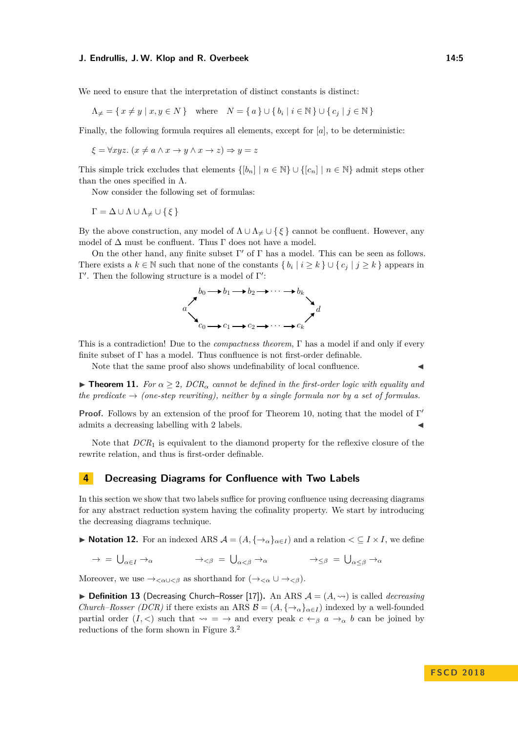We need to ensure that the interpretation of distinct constants is distinct:

$$
\Lambda_{\neq} = \{ x \neq y \mid x, y \in N \} \quad \text{where} \quad N = \{ a \} \cup \{ b_i \mid i \in \mathbb{N} \} \cup \{ c_j \mid j \in \mathbb{N} \}
$$

Finally, the following formula requires all elements, except for [*a*], to be deterministic:

$$
\xi = \forall xyz. \ (x \neq a \land x \to y \land x \to z) \Rightarrow y = z
$$

This simple trick excludes that elements  $\{[b_n] \mid n \in \mathbb{N}\} \cup \{[c_n] \mid n \in \mathbb{N}\}\$  admit steps other than the ones specified in  $\Lambda$ .

Now consider the following set of formulas:

 $\Gamma = \Delta \cup \Lambda \cup \Lambda_{\neq} \cup \{\xi\}$ 

By the above construction, any model of  $\Lambda \cup \Lambda \neq \cup \{\xi\}$  cannot be confluent. However, any model of  $\Delta$  must be confluent. Thus  $\Gamma$  does not have a model.

On the other hand, any finite subset  $\Gamma'$  of  $\Gamma$  has a model. This can be seen as follows. There exists a  $k \in \mathbb{N}$  such that none of the constants  $\{b_i \mid i \geq k\} \cup \{c_j \mid j \geq k\}$  appears in  $Γ'$ . Then the following structure is a model of  $Γ'$ :



This is a contradiction! Due to the *compactness theorem*, Γ has a model if and only if every finite subset of  $\Gamma$  has a model. Thus confluence is not first-order definable.

Note that the same proof also shows undefinability of local confluence.

**Theorem 11.** *For*  $\alpha \geq 2$ ,  $DCR_{\alpha}$  *cannot be defined in the first-order logic with equality and the predicate*  $\rightarrow$  *(one-step rewriting), neither by a single formula nor by a set of formulas.* 

**Proof.** Follows by an extension of the proof for Theorem [10,](#page-3-0) noting that the model of Γ' admits a decreasing labelling with 2 labels.

Note that *DCR*<sup>1</sup> is equivalent to the diamond property for the reflexive closure of the rewrite relation, and thus is first-order definable.

## <span id="page-4-0"></span>**4 Decreasing Diagrams for Confluence with Two Labels**

In this section we show that two labels suffice for proving confluence using decreasing diagrams for any abstract reduction system having the cofinality property. We start by introducing the decreasing diagrams technique.

**► Notation 12.** For an indexed ARS  $\mathcal{A} = (A, \{\rightarrow_{\alpha}\}_{{\alpha} \in I})$  and a relation  $\lt \subseteq I \times I$ , we define

$$
\rightarrow \; = \; \bigcup_{\alpha \in I} \; \rightarrow_{\alpha} \qquad \qquad \rightarrow_{< \beta} \; = \; \bigcup_{\alpha < \beta} \; \rightarrow_{\alpha} \qquad \qquad \rightarrow_{\leq \beta} \; = \; \bigcup_{\alpha \leq \beta} \; \rightarrow_{\alpha}
$$

Moreover, we use  $\rightarrow_{<\alpha\cup<\beta}$  as shorthand for  $(\rightarrow_{<\alpha}\cup\rightarrow_{<\beta})$ .

<span id="page-4-1"></span> $\triangleright$  **Definition 13** (Decreasing Church–Rosser [\[17\]](#page-14-2)). An ARS  $\mathcal{A} = (A, \rightsquigarrow)$  is called *decreasing Church–Rosser (DCR)* if there exists an ARS  $\mathcal{B} = (A, \{\rightarrow_{\alpha}\}_{{\alpha \in I}})$  indexed by a well-founded partial order  $(I, \leq)$  such that  $\rightarrow$  =  $\rightarrow$  and every peak  $c \leftarrow_{\beta} a \rightarrow_{\alpha} b$  can be joined by reductions of the form shown in Figure [3.](#page-5-1)<sup>[2](#page-5-2)</sup>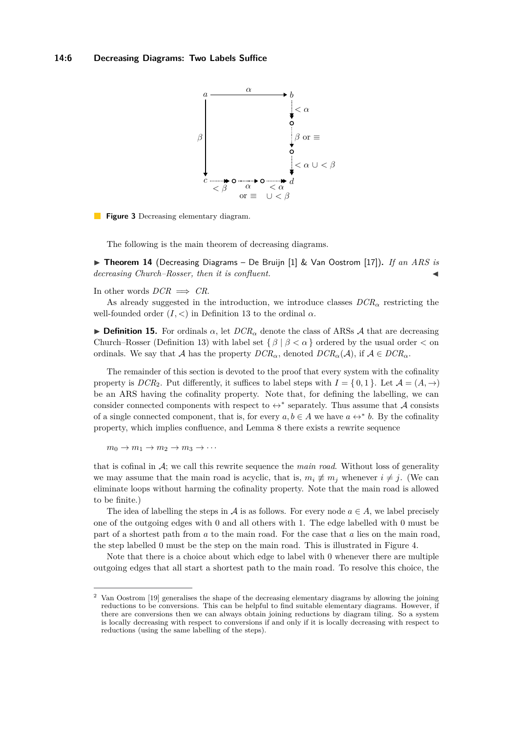<span id="page-5-1"></span>

**Figure 3** Decreasing elementary diagram.

The following is the main theorem of decreasing diagrams.

▶ **Theorem 14** (Decreasing Diagrams – De Bruijn [\[1\]](#page-13-0) & Van Oostrom [\[17\]](#page-14-2)). *If an ARS is decreasing Church–Rosser, then it is confluent.* J

In other words  $DCR \implies CR$ .

As already suggested in the introduction, we introduce classes  $DCR_{\alpha}$  restricting the well-founded order  $(I, <)$  in Definition [13](#page-4-1) to the ordinal  $\alpha$ .

<span id="page-5-0"></span>**Definition 15.** For ordinals  $\alpha$ , let  $DCR_{\alpha}$  denote the class of ARSs A that are decreasing Church–Rosser (Definition [13\)](#page-4-1) with label set  $\{\beta \mid \beta < \alpha\}$  ordered by the usual order  $\lt$  on ordinals. We say that A has the property  $DCR_{\alpha}$ , denoted  $DCR_{\alpha}(\mathcal{A})$ , if  $\mathcal{A} \in DCR_{\alpha}$ .

The remainder of this section is devoted to the proof that every system with the cofinality property is  $DCR_2$ . Put differently, it suffices to label steps with  $I = \{0, 1\}$ . Let  $\mathcal{A} = (A, \rightarrow)$ be an ARS having the cofinality property. Note that, for defining the labelling, we can consider connected components with respect to  $\leftrightarrow^*$  separately. Thus assume that A consists of a single connected component, that is, for every  $a, b \in A$  we have  $a \leftrightarrow^* b$ . By the cofinality property, which implies confluence, and Lemma [8](#page-3-1) there exists a rewrite sequence

 $m_0 \rightarrow m_1 \rightarrow m_2 \rightarrow m_3 \rightarrow \cdots$ 

that is cofinal in A; we call this rewrite sequence the *main road*. Without loss of generality we may assume that the main road is acyclic, that is,  $m_i \not\equiv m_j$  whenever  $i \neq j$ . (We can eliminate loops without harming the cofinality property. Note that the main road is allowed to be finite.)

The idea of labelling the steps in A is as follows. For every node  $a \in A$ , we label precisely one of the outgoing edges with 0 and all others with 1. The edge labelled with 0 must be part of a shortest path from *a* to the main road. For the case that *a* lies on the main road, the step labelled 0 must be the step on the main road. This is illustrated in Figure [4.](#page-6-0)

Note that there is a choice about which edge to label with 0 whenever there are multiple outgoing edges that all start a shortest path to the main road. To resolve this choice, the

<span id="page-5-2"></span><sup>2</sup> Van Oostrom [\[19\]](#page-14-12) generalises the shape of the decreasing elementary diagrams by allowing the joining reductions to be conversions. This can be helpful to find suitable elementary diagrams. However, if there are conversions then we can always obtain joining reductions by diagram tiling. So a system is locally decreasing with respect to conversions if and only if it is locally decreasing with respect to reductions (using the same labelling of the steps).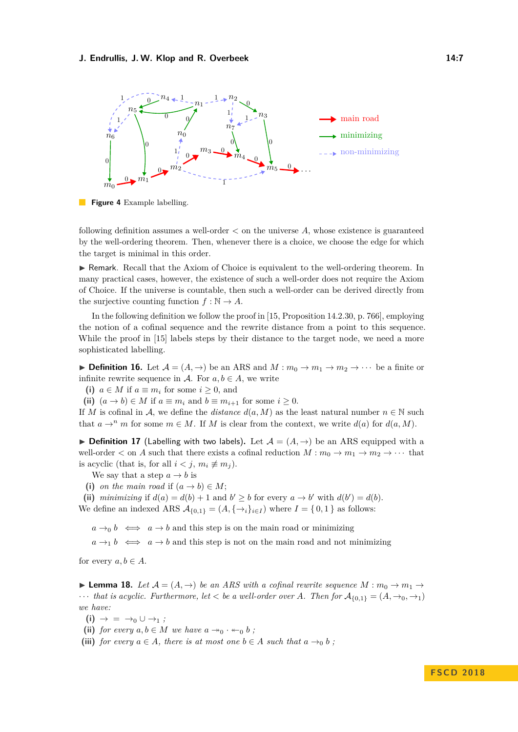<span id="page-6-0"></span>

**Figure 4** Example labelling.

following definition assumes a well-order *<* on the universe *A*, whose existence is guaranteed by the well-ordering theorem. Then, whenever there is a choice, we choose the edge for which the target is minimal in this order.

► Remark. Recall that the Axiom of Choice is equivalent to the well-ordering theorem. In many practical cases, however, the existence of such a well-order does not require the Axiom of Choice. If the universe is countable, then such a well-order can be derived directly from the surjective counting function  $f : \mathbb{N} \to A$ .

In the following definition we follow the proof in [\[15,](#page-14-3) Proposition 14.2.30, p. 766], employing the notion of a cofinal sequence and the rewrite distance from a point to this sequence. While the proof in [\[15\]](#page-14-3) labels steps by their distance to the target node, we need a more sophisticated labelling.

**Definition 16.** Let  $\mathcal{A} = (A, \rightarrow)$  be an ARS and  $M : m_0 \rightarrow m_1 \rightarrow m_2 \rightarrow \cdots$  be a finite or infinite rewrite sequence in  $\mathcal{A}$ . For  $a, b \in A$ , we write

(i)  $a \in M$  if  $a \equiv m_i$  for some  $i \geq 0$ , and

(ii)  $(a \to b) \in M$  if  $a \equiv m_i$  and  $b \equiv m_{i+1}$  for some  $i \geq 0$ .

If *M* is cofinal in *A*, we define the *distance*  $d(a, M)$  as the least natural number  $n \in \mathbb{N}$  such that  $a \rightarrow^n m$  for some  $m \in M$ . If M is clear from the context, we write  $d(a)$  for  $d(a, M)$ .

**► Definition 17** (Labelling with two labels). Let  $\mathcal{A} = (A, \rightarrow)$  be an ARS equipped with a well-order  $\lt$  on *A* such that there exists a cofinal reduction  $M : m_0 \to m_1 \to m_2 \to \cdots$  that is acyclic (that is, for all  $i < j$ ,  $m_i \not\equiv m_j$ ).

We say that a step  $a \rightarrow b$  is

(i) *on the main road* if  $(a \rightarrow b) \in M$ ;

(ii) *minimizing* if  $d(a) = d(b) + 1$  and  $b' \geq b$  for every  $a \to b'$  with  $d(b') = d(b)$ .

We define an indexed ARS  $A_{\{0,1\}} = (A, \{\rightarrow_i\}_{i \in I})$  where  $I = \{0,1\}$  as follows:

 $a \rightarrow_0 b \iff a \rightarrow b$  and this step is on the main road or minimizing

 $a \rightarrow b \iff a \rightarrow b$  and this step is not on the main road and not minimizing

for every  $a, b \in A$ .

<span id="page-6-4"></span>**Lemma 18.** Let  $\mathcal{A} = (A, \rightarrow)$  be an ARS with a cofinal rewrite sequence  $M : m_0 \rightarrow m_1 \rightarrow$  $\cdots$  *that is acyclic. Furthermore, let*  $\lt$  *be a well-order over A. Then for*  $A_{\{0,1\}} = (A, \rightarrow_0, \rightarrow_1)$ *we have:*

- <span id="page-6-1"></span> $(i) \rightarrow \; = \; \rightarrow_0 \cup \rightarrow_1 ;$
- <span id="page-6-2"></span>(ii) *for every*  $a, b \in M$  *we have*  $a \rightarrow 0 \cdot \leftarrow 0$  *b*;

<span id="page-6-3"></span>(iii) *for every*  $a \in A$ *, there is at most one*  $b \in A$  *such that*  $a \rightarrow_0 b$ ;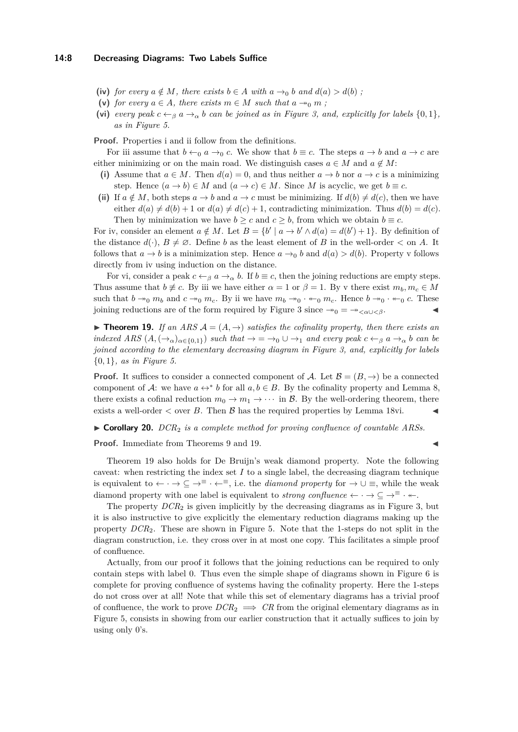- <span id="page-7-0"></span>(iv) *for every*  $a \notin M$ *, there exists*  $b \in A$  *with*  $a \rightarrow_0 b$  *and*  $d(a) > d(b)$ ;
- <span id="page-7-1"></span>(v) *for every*  $a \in A$ *, there exists*  $m \in M$  *such that*  $a \rightarrow o$  *m*;
- <span id="page-7-2"></span>(vi) *every peak*  $c \leftarrow \beta a \rightarrow \alpha b$  *can be joined as in Figure [3,](#page-5-1) and, explicitly for labels*  $\{0, 1\}$ *, as in Figure [5.](#page-8-1)*

**Proof.** Properties [i](#page-6-1) and [ii](#page-6-2) follow from the definitions.

For [iii](#page-6-3) assume that  $b \leftarrow 0$  *a*  $\rightarrow 0$  *c*. We show that  $b \equiv c$ . The steps  $a \rightarrow b$  and  $a \rightarrow c$  are either minimizing or on the main road. We distinguish cases  $a \in M$  and  $a \notin M$ :

- (i) Assume that  $a \in M$ . Then  $d(a) = 0$ , and thus neither  $a \to b$  nor  $a \to c$  is a minimizing step. Hence  $(a \to b) \in M$  and  $(a \to c) \in M$ . Since M is acyclic, we get  $b \equiv c$ .
- (ii) If  $a \notin M$ , both steps  $a \to b$  and  $a \to c$  must be minimizing. If  $d(b) \neq d(c)$ , then we have either  $d(a) \neq d(b) + 1$  or  $d(a) \neq d(c) + 1$ , contradicting minimization. Thus  $d(b) = d(c)$ . Then by minimization we have  $b \geq c$  and  $c \geq b$ , from which we obtain  $b \equiv c$ .

For [iv,](#page-7-0) consider an element  $a \notin M$ . Let  $B = \{b' \mid a \to b' \land d(a) = d(b') + 1\}$ . By definition of the distance  $d(\cdot)$ ,  $B \neq \emptyset$ . Define *b* as the least element of *B* in the well-order  $\lt$  on *A*. It follows that  $a \to b$  is a minimization step. Hence  $a \to_0 b$  and  $d(a) > d(b)$ . Property [v](#page-7-1) follows directly from [iv](#page-7-0) using induction on the distance.

For [vi,](#page-7-2) consider a peak  $c \leftarrow_\beta a \rightarrow_\alpha b$ . If  $b \equiv c$ , then the joining reductions are empty steps. Thus assume that  $b \not\equiv c$ . By [iii](#page-6-3) we have either  $\alpha = 1$  or  $\beta = 1$ . By [v](#page-7-1) there exist  $m_b, m_c \in M$ such that  $b \rightarrow 0$  *m<sub>b</sub>* and  $c \rightarrow 0$  *m<sub>c</sub>*. By [ii](#page-6-2) we have  $m_b \rightarrow 0$   $\cdots \leftarrow 0$  *m<sub>c</sub>*. Hence  $b \rightarrow 0$   $\cdots \leftarrow 0$  *c*. These joining reductions are of the form required by Figure [3](#page-5-1) since  $\rightarrow 0 = \rightarrow \ltimes_{\alpha \cup \lt \beta}$ .

<span id="page-7-3"></span>**Theorem 19.** If an ARS  $A = (A, \rightarrow)$  satisfies the cofinality property, then there exists an *indexed ARS*  $(A, (\rightarrow a)_{\alpha \in \{0,1\}})$  *such that*  $\rightarrow = \rightarrow_0 \cup \rightarrow_1$  *and every peak*  $c \leftarrow_\beta a \rightarrow_\alpha b$  *can be joined according to the elementary decreasing diagram in Figure [3,](#page-5-1) and, explicitly for labels* {0*,* 1}*, as in Figure [5.](#page-8-1)*

**Proof.** It suffices to consider a connected component of A. Let  $\mathcal{B} = (B, \rightarrow)$  be a connected component of A: we have  $a \leftrightarrow^* b$  for all  $a, b \in B$ . By the cofinality property and Lemma [8,](#page-3-1) there exists a cofinal reduction  $m_0 \to m_1 \to \cdots$  in B. By the well-ordering theorem, there exists a well-order  $\lt$  over *B*. Then *B* has the required properties by Lemma [18](#page-6-4)[vi.](#page-7-2)

I **Corollary 20.** *DCR*<sup>2</sup> *is a complete method for proving confluence of countable ARSs.*

**Proof.** Immediate from Theorems [9](#page-3-2) and [19.](#page-7-3)

Theorem [19](#page-7-3) also holds for De Bruijn's weak diamond property. Note the following caveat: when restricting the index set  $I$  to a single label, the decreasing diagram technique is equivalent to  $\leftarrow \cdot \rightarrow \subseteq \rightarrow^{\equiv} \cdot \leftarrow^{\equiv}$ , i.e. the *diamond property* for  $\rightarrow \cup \equiv$ , while the weak diamond property with one label is equivalent to *strong confluence*  $\leftarrow \cdot \rightarrow \subseteq \rightarrow^{\equiv} \cdot \leftarrow$ .

The property *DCR*<sup>2</sup> is given implicitly by the decreasing diagrams as in Figure [3,](#page-5-1) but it is also instructive to give explicitly the elementary reduction diagrams making up the property *DCR*2. These are shown in Figure [5.](#page-8-1) Note that the 1-steps do not split in the diagram construction, i.e. they cross over in at most one copy. This facilitates a simple proof of confluence.

Actually, from our proof it follows that the joining reductions can be required to only contain steps with label 0. Thus even the simple shape of diagrams shown in Figure [6](#page-8-2) is complete for proving confluence of systems having the cofinality property. Here the 1-steps do not cross over at all! Note that while this set of elementary diagrams has a trivial proof of confluence, the work to prove  $DCR_2 \implies CR$  from the original elementary diagrams as in Figure [5,](#page-8-1) consists in showing from our earlier construction that it actually suffices to join by using only 0's.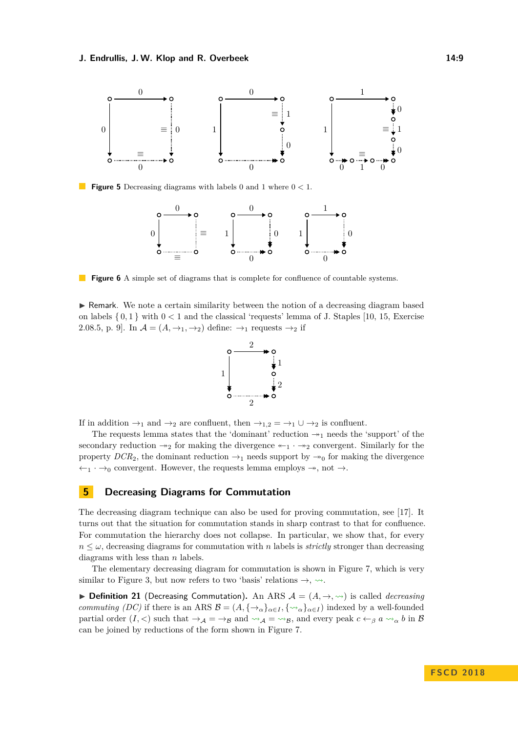<span id="page-8-1"></span>

<span id="page-8-2"></span>**Figure 5** Decreasing diagrams with labels 0 and 1 where 0 *<* 1.



**Figure 6** A simple set of diagrams that is complete for confluence of countable systems.

 $\triangleright$  Remark. We note a certain similarity between the notion of a decreasing diagram based on labels { 0*,* 1 } with 0 *<* 1 and the classical 'requests' lemma of J. Staples [\[10,](#page-14-13) [15,](#page-14-3) Exercise 2.08.5, p. 9]. In  $\mathcal{A} = (A, \rightarrow_1, \rightarrow_2)$  define:  $\rightarrow_1$  requests  $\rightarrow_2$  if



If in addition  $\rightarrow_1$  and  $\rightarrow_2$  are confluent, then  $\rightarrow_{1,2} = \rightarrow_1 \cup \rightarrow_2$  is confluent.

The requests lemma states that the 'dominant' reduction  $\rightarrow_{1}$  needs the 'support' of the secondary reduction  $\rightarrow_2$  for making the divergence  $\leftarrow_1 \cdot \rightarrow_2$  convergent. Similarly for the property  $DCR_2$ , the dominant reduction  $\rightarrow_1$  needs support by  $\rightarrow_0$  for making the divergence  $\leftarrow_1 \cdot \rightarrow_0$  convergent. However, the requests lemma employs  $\rightarrow$ , not  $\rightarrow$ .

# <span id="page-8-0"></span>**5 Decreasing Diagrams for Commutation**

The decreasing diagram technique can also be used for proving commutation, see [\[17\]](#page-14-2). It turns out that the situation for commutation stands in sharp contrast to that for confluence. For commutation the hierarchy does not collapse. In particular, we show that, for every  $n \leq \omega$ , decreasing diagrams for commutation with *n* labels is *strictly* stronger than decreasing diagrams with less than *n* labels.

The elementary decreasing diagram for commutation is shown in Figure [7,](#page-9-0) which is very similar to Figure [3,](#page-5-1) but now refers to two 'basis' relations  $\rightarrow$ ,  $\rightsquigarrow$ .

<span id="page-8-3"></span>▶ **Definition 21** (Decreasing Commutation). An ARS  $\mathcal{A} = (A, \rightarrow, \rightsquigarrow)$  is called *decreasing commuting (DC)* if there is an ARS  $\mathcal{B} = (A, \{\rightarrow_{\alpha}\}_{{\alpha}\in I}, \{\rightarrow_{\alpha}\}_{{\alpha}\in I})$  indexed by a well-founded partial order  $(I, <)$  such that  $\rightarrow_A = \rightarrow_B$  and  $\rightarrow_A = \rightarrow_B$ , and every peak  $c \leftarrow_\beta a \rightarrow_\alpha b$  in B can be joined by reductions of the form shown in Figure [7.](#page-9-0)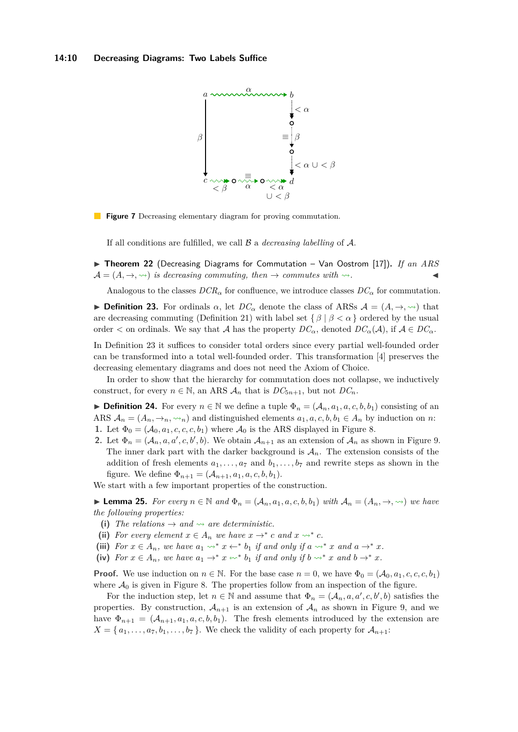<span id="page-9-0"></span>

**Figure 7** Decreasing elementary diagram for proving commutation.

If all conditions are fulfilled, we call B a *decreasing labelling* of A.

▶ Theorem 22 (Decreasing Diagrams for Commutation – Van Oostrom [\[17\]](#page-14-2)). *If an ARS*  $\mathcal{A} = (A, \rightarrow, \rightarrow)$  *is decreasing commuting, then*  $\rightarrow$  *commutes with*  $\rightsquigarrow$ *.* 

Analogous to the classes  $DCR_\alpha$  for confluence, we introduce classes  $DC_\alpha$  for commutation.

<span id="page-9-1"></span>**Definition 23.** For ordinals  $\alpha$ , let  $DC_{\alpha}$  denote the class of ARSs  $\mathcal{A} = (A, \rightarrow, \rightsquigarrow)$  that are decreasing commuting (Definition [21\)](#page-8-3) with label set  $\{\beta \mid \beta < \alpha\}$  ordered by the usual order  $\lt$  on ordinals. We say that A has the property  $DC_{\alpha}$ , denoted  $DC_{\alpha}(A)$ , if  $A \in DC_{\alpha}$ .

In Definition [23](#page-9-1) it suffices to consider total orders since every partial well-founded order can be transformed into a total well-founded order. This transformation [\[4\]](#page-13-1) preserves the decreasing elementary diagrams and does not need the Axiom of Choice.

In order to show that the hierarchy for commutation does not collapse, we inductively construct, for every  $n \in \mathbb{N}$ , an ARS  $A_n$  that is  $DC_{5n+1}$ , but not  $DC_n$ .

**► Definition 24.** For every  $n \in \mathbb{N}$  we define a tuple  $\Phi_n = (\mathcal{A}_n, a_1, a, c, b, b_1)$  consisting of an ARS  $A_n = (A_n, \rightarrow_n, \rightsquigarrow_n)$  and distinguished elements  $a_1, a, c, b, b_1 \in A_n$  by induction on *n*:

- **1.** Let  $\Phi_0 = (\mathcal{A}_0, a_1, c, c, c, b_1)$  where  $\mathcal{A}_0$  is the ARS displayed in Figure [8.](#page-10-0)
- **2.** Let  $\Phi_n = (A_n, a, a', c, b', b)$ . We obtain  $A_{n+1}$  as an extension of  $A_n$  as shown in Figure [9.](#page-10-0) The inner dark part with the darker background is  $A_n$ . The extension consists of the addition of fresh elements  $a_1, \ldots, a_7$  and  $b_1, \ldots, b_7$  and rewrite steps as shown in the figure. We define  $\Phi_{n+1} = (A_{n+1}, a_1, a, c, b, b_1)$ .

We start with a few important properties of the construction.

<span id="page-9-5"></span>► **Lemma 25.** For every  $n \in \mathbb{N}$  and  $\Phi_n = (A_n, a_1, a, c, b, b_1)$  with  $A_n = (A_n, \rightarrow, \rightsquigarrow)$  we have *the following properties:*

- <span id="page-9-2"></span>(i) The relations  $\rightarrow$  and  $\rightsquigarrow$  are deterministic.
- <span id="page-9-3"></span>(ii) For every element  $x \in A_n$  we have  $x \to^* c$  and  $x \to^* c$ .
- <span id="page-9-4"></span>(iii) For  $x \in A_n$ , we have  $a_1 \leadsto^* x \leftarrow^* b_1$  *if and only if*  $a \leadsto^* x$  *and*  $a \rightarrow^* x$ *.*
- <span id="page-9-6"></span>(iv) For  $x \in A_n$ , we have  $a_1 \rightarrow^* x \rightsquigarrow^* b_1$  *if and only if*  $b \rightsquigarrow^* x$  *and*  $b \rightarrow^* x$ *.*

**Proof.** We use induction on  $n \in \mathbb{N}$ . For the base case  $n = 0$ , we have  $\Phi_0 = (\mathcal{A}_0, a_1, c, c, c, b_1)$ where  $\mathcal{A}_0$  is given in Figure [8.](#page-10-0) The properties follow from an inspection of the figure.

For the induction step, let  $n \in \mathbb{N}$  and assume that  $\Phi_n = (A_n, a, a', c, b', b)$  satisfies the properties. By construction,  $A_{n+1}$  is an extension of  $A_n$  as shown in Figure [9,](#page-10-0) and we have  $\Phi_{n+1} = (A_{n+1}, a_1, a, c, b, b_1)$ . The fresh elements introduced by the extension are  $X = \{a_1, \ldots, a_7, b_1, \ldots, b_7\}$ . We check the validity of each property for  $\mathcal{A}_{n+1}$ :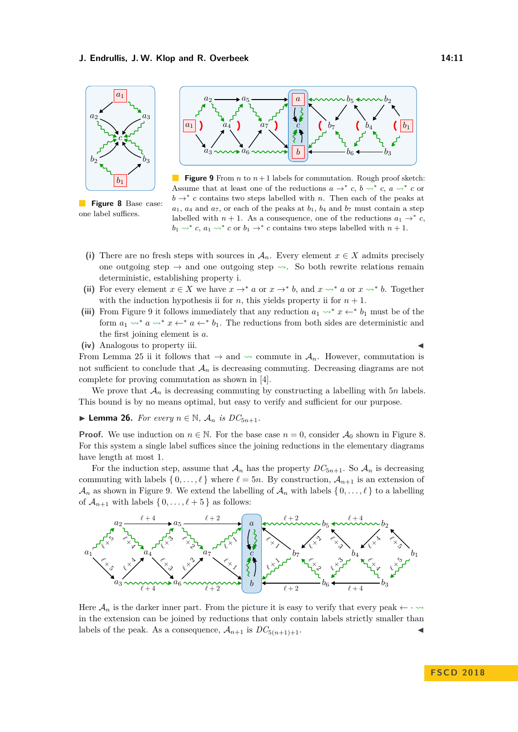<span id="page-10-0"></span>

**Figure 8** Base case: one label suffices.



**Figure 9** From *n* to  $n+1$  labels for commutation. Rough proof sketch: Assume that at least one of the reductions  $a \rightarrow^* c$ ,  $b \rightarrow^* c$ ,  $a \rightarrow^* c$  or  $b \rightarrow^* c$  contains two steps labelled with *n*. Then each of the peaks at  $a_1$ ,  $a_4$  and  $a_7$ , or each of the peaks at  $b_1$ ,  $b_4$  and  $b_7$  must contain a step labelled with  $n + 1$ . As a consequence, one of the reductions  $a_1 \rightarrow^* c$ ,  $b_1 \leadsto^* c$ ,  $a_1 \leadsto^* c$  or  $b_1 \to^* c$  contains two steps labelled with  $n+1$ .

- (i) There are no fresh steps with sources in  $\mathcal{A}_n$ . Every element  $x \in X$  admits precisely one outgoing step  $\rightarrow$  and one outgoing step  $\rightsquigarrow$ . So both rewrite relations remain deterministic, establishing property [i.](#page-9-2)
- (ii) For every element  $x \in X$  we have  $x \to^* a$  or  $x \to^* b$ , and  $x \leadsto^* a$  or  $x \leadsto^* b$ . Together with the induction hypothesis [ii](#page-9-3) for *n*, this yields property ii for  $n + 1$ .
- (iii) From Figure [9](#page-10-0) it follows immediately that any reduction  $a_1 \rightarrow^* x \leftarrow^* b_1$  must be of the form  $a_1 \rightarrow^* a \rightarrow^* x \leftarrow^* a \leftarrow^* b_1$ . The reductions from both sides are deterministic and the first joining element is *a*.
- **(iv)** Analogous to property [iii.](#page-9-4)

From Lemma [25](#page-9-5) [ii](#page-9-3) it follows that  $\rightarrow$  and  $\sim$  commute in  $\mathcal{A}_n$ . However, commutation is not sufficient to conclude that  $A_n$  is decreasing commuting. Decreasing diagrams are not complete for proving commutation as shown in [\[4\]](#page-13-1).

We prove that  $A_n$  is decreasing commuting by constructing a labelling with  $5n$  labels. This bound is by no means optimal, but easy to verify and sufficient for our purpose.

<span id="page-10-1"></span>▶ **Lemma 26.** *For every*  $n \in \mathbb{N}$ ,  $\mathcal{A}_n$  *is*  $DC_{5n+1}$ *.* 

**Proof.** We use induction on  $n \in \mathbb{N}$ . For the base case  $n = 0$ , consider  $\mathcal{A}_0$  shown in Figure [8.](#page-10-0) For this system a single label suffices since the joining reductions in the elementary diagrams have length at most 1.

For the induction step, assume that  $\mathcal{A}_n$  has the property  $DC_{5n+1}$ . So  $\mathcal{A}_n$  is decreasing commuting with labels  $\{0, \ldots, \ell\}$  where  $\ell = 5n$ . By construction,  $\mathcal{A}_{n+1}$  is an extension of  $\mathcal{A}_n$  as shown in Figure [9.](#page-10-0) We extend the labelling of  $\mathcal{A}_n$  with labels  $\{0, \ldots, \ell\}$  to a labelling of  $\mathcal{A}_{n+1}$  with labels  $\{0, \ldots, \ell + 5\}$  as follows:



Here  $\mathcal{A}_n$  is the darker inner part. From the picture it is easy to verify that every peak  $\leftarrow \cdots$ in the extension can be joined by reductions that only contain labels strictly smaller than labels of the peak. As a consequence,  $A_{n+1}$  is  $DC_{5(n+1)+1}$ .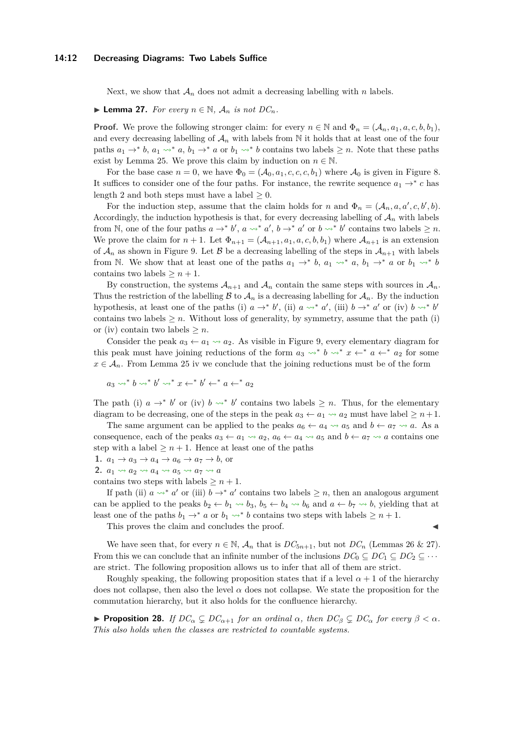## **14:12 Decreasing Diagrams: Two Labels Suffice**

Next, we show that  $A_n$  does not admit a decreasing labelling with *n* labels.

<span id="page-11-0"></span>▶ **Lemma 27.** *For every*  $n \in \mathbb{N}$ *,*  $\mathcal{A}_n$  *is not*  $DC_n$ *.* 

**Proof.** We prove the following stronger claim: for every  $n \in \mathbb{N}$  and  $\Phi_n = (A_n, a_1, a, c, b, b_1)$ , and every decreasing labelling of  $A_n$  with labels from  $\mathbb N$  it holds that at least one of the four paths  $a_1 \rightarrow^* b$ ,  $a_1 \leadsto^* a$ ,  $b_1 \rightarrow^* a$  or  $b_1 \leadsto^* b$  contains two labels  $\geq n$ . Note that these paths exist by Lemma [25.](#page-9-5) We prove this claim by induction on  $n \in \mathbb{N}$ .

For the base case  $n = 0$ , we have  $\Phi_0 = (\mathcal{A}_0, a_1, c, c, c, b_1)$  where  $\mathcal{A}_0$  is given in Figure [8.](#page-10-0) It suffices to consider one of the four paths. For instance, the rewrite sequence  $a_1 \rightarrow^* c$  has length 2 and both steps must have a label  $\geq 0$ .

For the induction step, assume that the claim holds for *n* and  $\Phi_n = (A_n, a, a', c, b', b)$ . Accordingly, the induction hypothesis is that, for every decreasing labelling of  $A_n$  with labels from N, one of the four paths  $a \to^* b'$ ,  $a \leadsto^* a'$ ,  $b \to^* a'$  or  $b \leadsto^* b'$  contains two labels  $\geq n$ . We prove the claim for  $n + 1$ . Let  $\Phi_{n+1} = (\mathcal{A}_{n+1}, a_1, a, c, b, b_1)$  where  $\mathcal{A}_{n+1}$  is an extension of  $\mathcal{A}_n$  as shown in Figure [9.](#page-10-0) Let  $\mathcal B$  be a decreasing labelling of the steps in  $\mathcal A_{n+1}$  with labels from N. We show that at least one of the paths  $a_1 \rightarrow^* b$ ,  $a_1 \rightarrow^* a$ ,  $b_1 \rightarrow^* a$  or  $b_1 \rightarrow^* b$ contains two labels  $\geq n+1$ .

By construction, the systems  $A_{n+1}$  and  $A_n$  contain the same steps with sources in  $A_n$ . Thus the restriction of the labelling  $\mathcal B$  to  $\mathcal A_n$  is a decreasing labelling for  $\mathcal A_n$ . By the induction hypothesis, at least one of the paths (i)  $a \rightarrow^* b'$ , (ii)  $a \rightsquigarrow^* a'$ , (iii)  $b \rightarrow^* a'$  or (iv)  $b \rightsquigarrow^* b'$ contains two labels  $\geq n$ . Without loss of generality, by symmetry, assume that the path (i) or (iv) contain two labels  $\geq n$ .

Consider the peak  $a_3 \leftarrow a_1 \rightsquigarrow a_2$ . As visible in Figure [9,](#page-10-0) every elementary diagram for this peak must have joining reductions of the form  $a_3 \rightsquigarrow^* b \rightsquigarrow^* x \leftarrow^* a \leftarrow^* a_2$  for some  $x \in A_n$ . From Lemma [25](#page-9-5) [iv](#page-9-6) we conclude that the joining reductions must be of the form

 $a_3 \leadsto^* b \leadsto^* b' \leadsto^* x \leftarrow^* b' \leftarrow^* a \leftarrow^* a_2$ 

The path (i)  $a \rightarrow^* b'$  or (iv)  $b \rightarrow^* b'$  contains two labels  $\geq n$ . Thus, for the elementary diagram to be decreasing, one of the steps in the peak  $a_3 \leftarrow a_1 \rightsquigarrow a_2$  must have label  $\geq n+1$ .

The same argument can be applied to the peaks  $a_6 \leftarrow a_4 \rightsquigarrow a_5$  and  $b \leftarrow a_7 \rightsquigarrow a$ . As a consequence, each of the peaks  $a_3 \leftarrow a_1 \rightsquigarrow a_2$ ,  $a_6 \leftarrow a_4 \rightsquigarrow a_5$  and  $b \leftarrow a_7 \rightsquigarrow a$  contains one step with a label  $\geq n+1$ . Hence at least one of the paths

1.  $a_1 \rightarrow a_3 \rightarrow a_4 \rightarrow a_6 \rightarrow a_7 \rightarrow b$ , or

**2.**  $a_1 \rightsquigarrow a_2 \rightsquigarrow a_4 \rightsquigarrow a_5 \rightsquigarrow a_7 \rightsquigarrow a$ 

contains two steps with labels  $\geq n+1$ .

If path (ii)  $a \rightarrow^* a'$  or (iii)  $b \rightarrow^* a'$  contains two labels  $\geq n$ , then an analogous argument can be applied to the peaks  $b_2 \leftarrow b_1 \rightsquigarrow b_3$ ,  $b_5 \leftarrow b_4 \rightsquigarrow b_6$  and  $a \leftarrow b_7 \rightsquigarrow b$ , yielding that at least one of the paths  $b_1 \rightarrow^* a$  or  $b_1 \leadsto^* b$  contains two steps with labels  $\geq n+1$ .

This proves the claim and concludes the proof.

We have seen that, for every  $n \in \mathbb{N}$ ,  $\mathcal{A}_n$  that is  $DC_{5n+1}$ , but not  $DC_n$  (Lemmas [26](#page-10-1) & [27\)](#page-11-0). From this we can conclude that an infinite number of the inclusions  $DC_0 \subseteq DC_1 \subseteq DC_2 \subseteq \cdots$ are strict. The following proposition allows us to infer that all of them are strict.

Roughly speaking, the following proposition states that if a level  $\alpha + 1$  of the hierarchy does not collapse, then also the level  $\alpha$  does not collapse. We state the proposition for the commutation hierarchy, but it also holds for the confluence hierarchy.

<span id="page-11-1"></span>**Proposition 28.** *If*  $DC_{\alpha} \subsetneq DC_{\alpha+1}$  *for an ordinal*  $\alpha$ *, then*  $DC_{\beta} \subsetneq DC_{\alpha}$  *for every*  $\beta < \alpha$ *. This also holds when the classes are restricted to countable systems.*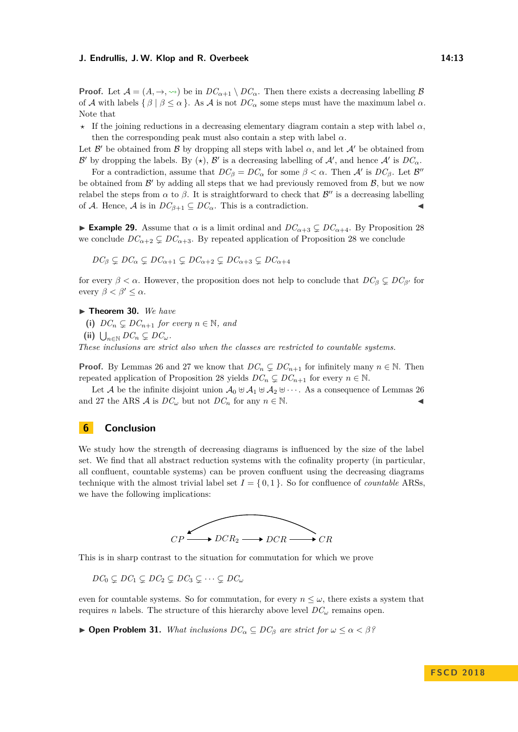**Proof.** Let  $\mathcal{A} = (A, \rightarrow, \rightsquigarrow)$  be in  $DC_{\alpha+1} \setminus DC_{\alpha}$ . Then there exists a decreasing labelling  $\beta$ of A with labels  $\{\beta \mid \beta \leq \alpha\}$ . As A is not  $DC_{\alpha}$  some steps must have the maximum label  $\alpha$ . Note that

*?* If the joining reductions in a decreasing elementary diagram contain a step with label *α*, then the corresponding peak must also contain a step with label  $\alpha$ .

Let  $\mathcal{B}'$  be obtained from  $\mathcal{B}$  by dropping all steps with label  $\alpha$ , and let  $\mathcal{A}'$  be obtained from B' by dropping the labels. By  $(\star)$ , B' is a decreasing labelling of A', and hence A' is  $DC_{\alpha}$ .

For a contradiction, assume that  $DC_\beta = DC_\alpha$  for some  $\beta < \alpha$ . Then  $\mathcal{A}'$  is  $DC_\beta$ . Let  $\mathcal{B}''$ be obtained from  $\mathcal{B}'$  by adding all steps that we had previously removed from  $\mathcal{B}$ , but we now relabel the steps from  $\alpha$  to  $\beta$ . It is straightforward to check that  $\mathcal{B}''$  is a decreasing labelling of A. Hence, A is in  $DC_{\beta+1} \subseteq DC_{\alpha}$ . This is a contradiction.

**Example 29.** Assume that  $\alpha$  is a limit ordinal and  $DC_{\alpha+3} \subsetneq DC_{\alpha+4}$ . By Proposition [28](#page-11-1) we conclude  $DC_{\alpha+2} \subsetneq DC_{\alpha+3}$ . By repeated application of Proposition [28](#page-11-1) we conclude

$$
DC_{\beta} \subsetneq DC_{\alpha} \subsetneq DC_{\alpha+1} \subsetneq DC_{\alpha+2} \subsetneq DC_{\alpha+3} \subsetneq DC_{\alpha+4}
$$

for every  $\beta < \alpha$ . However, the proposition does not help to conclude that  $DC_\beta \subsetneq DC_{\beta'}$  for every  $\beta < \beta' \leq \alpha$ .

**Find Theorem 30.** We have

(i)  $DC_n \subsetneq DC_{n+1}$  *for every*  $n \in \mathbb{N}$ *, and* 

 $\bigcup_{n \in \mathbb{N}} DC_n \subsetneq DC_\omega$ .

*These inclusions are strict also when the classes are restricted to countable systems.*

**Proof.** By Lemmas [26](#page-10-1) and [27](#page-11-0) we know that  $DC_n \subsetneq DC_{n+1}$  for infinitely many  $n \in \mathbb{N}$ . Then repeated application of Proposition [28](#page-11-1) yields  $DC_n \subseteq DC_{n+1}$  for every  $n \in \mathbb{N}$ .

Let A be the infinite disjoint union  $\mathcal{A}_0 \oplus \mathcal{A}_1 \oplus \mathcal{A}_2 \oplus \cdots$ . As a consequence of Lemmas [26](#page-10-1) and [27](#page-11-0) the ARS  $\mathcal{A}$  is  $DC_{\omega}$  but not  $DC_n$  for any  $n \in \mathbb{N}$ .

# <span id="page-12-0"></span>**6 Conclusion**

We study how the strength of decreasing diagrams is influenced by the size of the label set. We find that all abstract reduction systems with the cofinality property (in particular, all confluent, countable systems) can be proven confluent using the decreasing diagrams technique with the almost trivial label set  $I = \{0, 1\}$ . So for confluence of *countable* ARSs, we have the following implications:



This is in sharp contrast to the situation for commutation for which we prove

 $DC_0 \subseteq DC_1 \subseteq DC_2 \subseteq DC_3 \subseteq \cdots \subseteq DC_\omega$ 

even for countable systems. So for commutation, for every  $n \leq \omega$ , there exists a system that requires *n* labels. The structure of this hierarchy above level  $DC_\omega$  remains open.

 $\triangleright$  **Open Problem 31.** *What inclusions DC*<sup>α</sup> ⊆ *DC*<sup>β</sup> *are strict for*  $ω ≤ α < β$ ?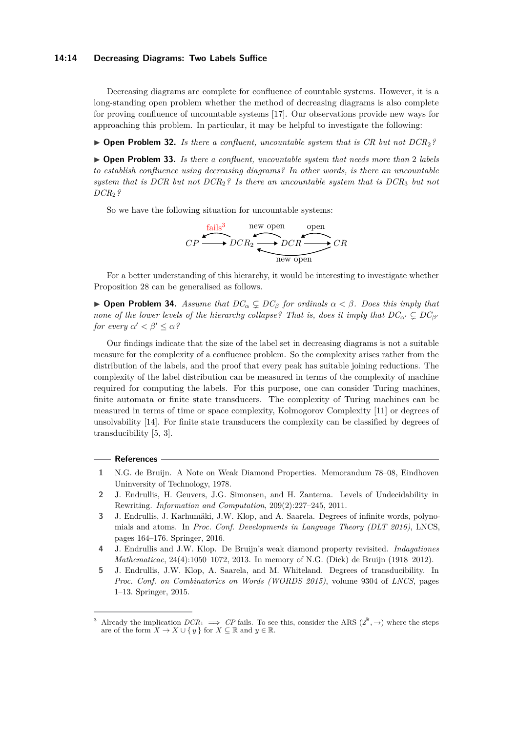## **14:14 Decreasing Diagrams: Two Labels Suffice**

Decreasing diagrams are complete for confluence of countable systems. However, it is a long-standing open problem whether the method of decreasing diagrams is also complete for proving confluence of uncountable systems [\[17\]](#page-14-2). Our observations provide new ways for approaching this problem. In particular, it may be helpful to investigate the following:

▶ **Open Problem 32.** *Is there a confluent, uncountable system that is CR but not DCR*<sub>2</sub>*?* 

▶ **Open Problem 33.** *Is there a confluent, uncountable system that needs more than* 2 *labels to establish confluence using decreasing diagrams? In other words, is there an uncountable system that is DCR but not DCR*2*? Is there an uncountable system that is DCR*<sup>3</sup> *but not DCR*2*?*

So we have the following situation for uncountable systems:



For a better understanding of this hierarchy, it would be interesting to investigate whether Proposition [28](#page-11-1) can be generalised as follows.

 $▶$  **Open Problem 34.** *Assume that*  $DC<sup>α</sup>$   $subseteq$   $DC<sup>β</sup>$  *for ordinals*  $α < β$ *. Does this imply that none of the lower levels of the hierarchy collapse? That is, does it imply that*  $DC_{\alpha'} \subseteq DC_{\beta'}$ *for every*  $\alpha' < \beta' \leq \alpha$ ?

Our findings indicate that the size of the label set in decreasing diagrams is not a suitable measure for the complexity of a confluence problem. So the complexity arises rather from the distribution of the labels, and the proof that every peak has suitable joining reductions. The complexity of the label distribution can be measured in terms of the complexity of machine required for computing the labels. For this purpose, one can consider Turing machines, finite automata or finite state transducers. The complexity of Turing machines can be measured in terms of time or space complexity, Kolmogorov Complexity [\[11\]](#page-14-14) or degrees of unsolvability [\[14\]](#page-14-15). For finite state transducers the complexity can be classified by degrees of transducibility [\[5,](#page-13-4) [3\]](#page-13-5).

# **References**

- <span id="page-13-0"></span>**1** N.G. de Bruijn. A Note on Weak Diamond Properties. Memorandum 78–08, Eindhoven Uninversity of Technology, 1978.
- <span id="page-13-2"></span>**2** J. Endrullis, H. Geuvers, J.G. Simonsen, and H. Zantema. Levels of Undecidability in Rewriting. *Information and Computation*, 209(2):227–245, 2011.
- <span id="page-13-5"></span>**3** J. Endrullis, J. Karhumäki, J.W. Klop, and A. Saarela. Degrees of infinite words, polynomials and atoms. In *Proc. Conf. Developments in Language Theory (DLT 2016)*, LNCS, pages 164–176. Springer, 2016.
- <span id="page-13-1"></span>**4** J. Endrullis and J.W. Klop. De Bruijn's weak diamond property revisited. *Indagationes Mathematicae*, 24(4):1050–1072, 2013. In memory of N.G. (Dick) de Bruijn (1918–2012).
- <span id="page-13-4"></span>**5** J. Endrullis, J.W. Klop, A. Saarela, and M. Whiteland. Degrees of transducibility. In *Proc. Conf. on Combinatorics on Words (WORDS 2015)*, volume 9304 of *LNCS*, pages 1–13. Springer, 2015.

<span id="page-13-3"></span><sup>&</sup>lt;sup>3</sup> Already the implication  $DCR_1 \implies CP$  fails. To see this, consider the ARS  $(2^{\mathbb{R}}, \rightarrow)$  where the steps are of the form  $X \to X \cup \{y\}$  for  $X \subseteq \mathbb{R}$  and  $y \in \mathbb{R}$ .